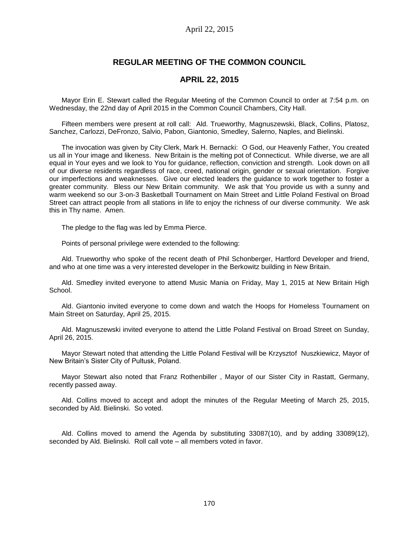# **REGULAR MEETING OF THE COMMON COUNCIL**

## **APRIL 22, 2015**

Mayor Erin E. Stewart called the Regular Meeting of the Common Council to order at 7:54 p.m. on Wednesday, the 22nd day of April 2015 in the Common Council Chambers, City Hall.

Fifteen members were present at roll call: Ald. Trueworthy, Magnuszewski, Black, Collins, Platosz, Sanchez, Carlozzi, DeFronzo, Salvio, Pabon, Giantonio, Smedley, Salerno, Naples, and Bielinski.

The invocation was given by City Clerk, Mark H. Bernacki: O God, our Heavenly Father, You created us all in Your image and likeness. New Britain is the melting pot of Connecticut. While diverse, we are all equal in Your eyes and we look to You for guidance, reflection, conviction and strength. Look down on all of our diverse residents regardless of race, creed, national origin, gender or sexual orientation. Forgive our imperfections and weaknesses. Give our elected leaders the guidance to work together to foster a greater community. Bless our New Britain community. We ask that You provide us with a sunny and warm weekend so our 3-on-3 Basketball Tournament on Main Street and Little Poland Festival on Broad Street can attract people from all stations in life to enjoy the richness of our diverse community. We ask this in Thy name. Amen.

The pledge to the flag was led by Emma Pierce.

Points of personal privilege were extended to the following:

Ald. Trueworthy who spoke of the recent death of Phil Schonberger, Hartford Developer and friend, and who at one time was a very interested developer in the Berkowitz building in New Britain.

Ald. Smedley invited everyone to attend Music Mania on Friday, May 1, 2015 at New Britain High School.

Ald. Giantonio invited everyone to come down and watch the Hoops for Homeless Tournament on Main Street on Saturday, April 25, 2015.

Ald. Magnuszewski invited everyone to attend the Little Poland Festival on Broad Street on Sunday, April 26, 2015.

Mayor Stewart noted that attending the Little Poland Festival will be Krzysztof Nuszkiewicz, Mayor of New Britain's Sister City of Pultusk, Poland.

Mayor Stewart also noted that Franz Rothenbiller , Mayor of our Sister City in Rastatt, Germany, recently passed away.

Ald. Collins moved to accept and adopt the minutes of the Regular Meeting of March 25, 2015, seconded by Ald. Bielinski. So voted.

Ald. Collins moved to amend the Agenda by substituting 33087(10), and by adding 33089(12), seconded by Ald. Bielinski. Roll call vote – all members voted in favor.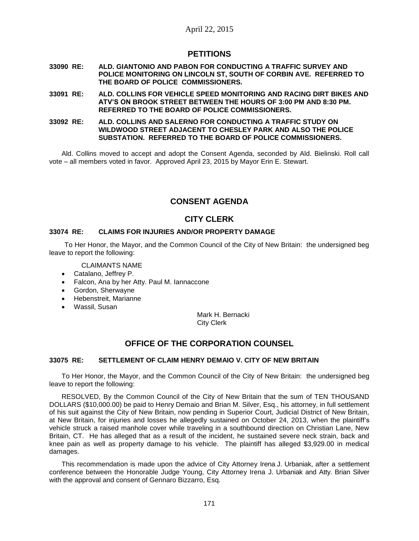# **PETITIONS**

- **33090 RE: ALD. GIANTONIO AND PABON FOR CONDUCTING A TRAFFIC SURVEY AND POLICE MONITORING ON LINCOLN ST, SOUTH OF CORBIN AVE. REFERRED TO THE BOARD OF POLICE COMMISSIONERS.**
- **33091 RE: ALD. COLLINS FOR VEHICLE SPEED MONITORING AND RACING DIRT BIKES AND ATV'S ON BROOK STREET BETWEEN THE HOURS OF 3:00 PM AND 8:30 PM. REFERRED TO THE BOARD OF POLICE COMMISSIONERS.**

#### **33092 RE: ALD. COLLINS AND SALERNO FOR CONDUCTING A TRAFFIC STUDY ON WILDWOOD STREET ADJACENT TO CHESLEY PARK AND ALSO THE POLICE SUBSTATION. REFERRED TO THE BOARD OF POLICE COMMISSIONERS.**

Ald. Collins moved to accept and adopt the Consent Agenda, seconded by Ald. Bielinski. Roll call vote – all members voted in favor. Approved April 23, 2015 by Mayor Erin E. Stewart.

# **CONSENT AGENDA**

# **CITY CLERK**

## **33074 RE: CLAIMS FOR INJURIES AND/OR PROPERTY DAMAGE**

To Her Honor, the Mayor, and the Common Council of the City of New Britain: the undersigned beg leave to report the following:

CLAIMANTS NAME

- Catalano, Jeffrey P.
- Falcon, Ana by her Atty. Paul M. Iannaccone
- Gordon, Sherwayne
- Hebenstreit, Marianne
- Wassil, Susan

Mark H. Bernacki City Clerk

# **OFFICE OF THE CORPORATION COUNSEL**

## **33075 RE: SETTLEMENT OF CLAIM HENRY DEMAIO V. CITY OF NEW BRITAIN**

To Her Honor, the Mayor, and the Common Council of the City of New Britain: the undersigned beg leave to report the following:

RESOLVED, By the Common Council of the City of New Britain that the sum of TEN THOUSAND DOLLARS (\$10,000.00) be paid to Henry Demaio and Brian M. Silver, Esq., his attorney, in full settlement of his suit against the City of New Britain, now pending in Superior Court, Judicial District of New Britain, at New Britain, for injuries and losses he allegedly sustained on October 24, 2013, when the plaintiff's vehicle struck a raised manhole cover while traveling in a southbound direction on Christian Lane, New Britain, CT. He has alleged that as a result of the incident, he sustained severe neck strain, back and knee pain as well as property damage to his vehicle. The plaintiff has alleged \$3,929.00 in medical damages.

This recommendation is made upon the advice of City Attorney Irena J. Urbaniak, after a settlement conference between the Honorable Judge Young, City Attorney Irena J. Urbaniak and Atty. Brian Silver with the approval and consent of Gennaro Bizzarro, Esq.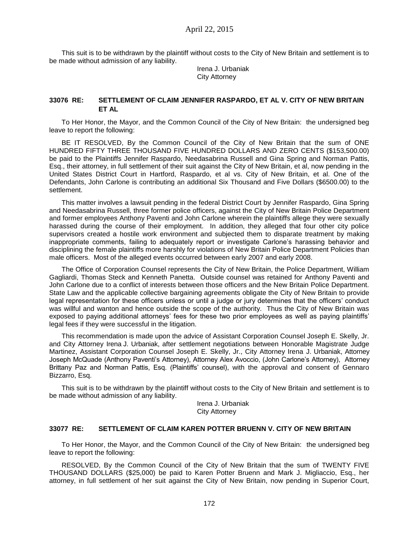This suit is to be withdrawn by the plaintiff without costs to the City of New Britain and settlement is to be made without admission of any liability.

> Irena J. Urbaniak City Attorney

## **33076 RE: SETTLEMENT OF CLAIM JENNIFER RASPARDO, ET AL V. CITY OF NEW BRITAIN ET AL**

To Her Honor, the Mayor, and the Common Council of the City of New Britain: the undersigned beg leave to report the following:

BE IT RESOLVED, By the Common Council of the City of New Britain that the sum of ONE HUNDRED FIFTY THREE THOUSAND FIVE HUNDRED DOLLARS AND ZERO CENTS (\$153,500.00) be paid to the Plaintiffs Jennifer Raspardo, Needasabrina Russell and Gina Spring and Norman Pattis, Esq., their attorney, in full settlement of their suit against the City of New Britain, et al, now pending in the United States District Court in Hartford, Raspardo, et al vs. City of New Britain, et al. One of the Defendants, John Carlone is contributing an additional Six Thousand and Five Dollars (\$6500.00) to the settlement.

This matter involves a lawsuit pending in the federal District Court by Jennifer Raspardo, Gina Spring and Needasabrina Russell, three former police officers, against the City of New Britain Police Department and former employees Anthony Paventi and John Carlone wherein the plaintiffs allege they were sexually harassed during the course of their employment. In addition, they alleged that four other city police supervisors created a hostile work environment and subjected them to disparate treatment by making inappropriate comments, failing to adequately report or investigate Carlone's harassing behavior and disciplining the female plaintiffs more harshly for violations of New Britain Police Department Policies than male officers. Most of the alleged events occurred between early 2007 and early 2008.

The Office of Corporation Counsel represents the City of New Britain, the Police Department, William Gagliardi, Thomas Steck and Kenneth Panetta. Outside counsel was retained for Anthony Paventi and John Carlone due to a conflict of interests between those officers and the New Britain Police Department. State Law and the applicable collective bargaining agreements obligate the City of New Britain to provide legal representation for these officers unless or until a judge or jury determines that the officers' conduct was willful and wanton and hence outside the scope of the authority. Thus the City of New Britain was exposed to paying additional attorneys' fees for these two prior employees as well as paying plaintiffs' legal fees if they were successful in the litigation.

This recommendation is made upon the advice of Assistant Corporation Counsel Joseph E. Skelly, Jr. and City Attorney Irena J. Urbaniak, after settlement negotiations between Honorable Magistrate Judge Martinez, Assistant Corporation Counsel Joseph E. Skelly, Jr., City Attorney Irena J. Urbaniak, Attorney Joseph McQuade (Anthony Paventi's Attorney), Attorney Alex Avoccio, (John Carlone's Attorney), Attorney Brittany Paz and Norman Pattis, Esq. (Plaintiffs' counsel), with the approval and consent of Gennaro Bizzarro, Esq.

This suit is to be withdrawn by the plaintiff without costs to the City of New Britain and settlement is to be made without admission of any liability.

> Irena J. Urbaniak City Attorney

### **33077 RE: SETTLEMENT OF CLAIM KAREN POTTER BRUENN V. CITY OF NEW BRITAIN**

To Her Honor, the Mayor, and the Common Council of the City of New Britain: the undersigned beg leave to report the following:

RESOLVED, By the Common Council of the City of New Britain that the sum of TWENTY FIVE THOUSAND DOLLARS (\$25,000) be paid to Karen Potter Bruenn and Mark J. Migliaccio, Esq., her attorney, in full settlement of her suit against the City of New Britain, now pending in Superior Court,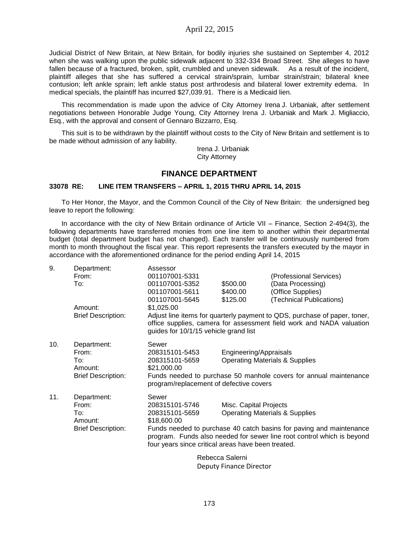Judicial District of New Britain, at New Britain, for bodily injuries she sustained on September 4, 2012 when she was walking upon the public sidewalk adjacent to 332-334 Broad Street. She alleges to have fallen because of a fractured, broken, split, crumbled and uneven sidewalk. As a result of the incident, plaintiff alleges that she has suffered a cervical strain/sprain, lumbar strain/strain; bilateral knee contusion; left ankle sprain; left ankle status post arthrodesis and bilateral lower extremity edema. In medical specials, the plaintiff has incurred \$27,039.91. There is a Medicaid lien.

This recommendation is made upon the advice of City Attorney Irena J. Urbaniak, after settlement negotiations between Honorable Judge Young, City Attorney Irena J. Urbaniak and Mark J. Migliaccio, Esq., with the approval and consent of Gennaro Bizzarro, Esq.

This suit is to be withdrawn by the plaintiff without costs to the City of New Britain and settlement is to be made without admission of any liability.

> Irena J. Urbaniak City Attorney

## **FINANCE DEPARTMENT**

#### **33078 RE: LINE ITEM TRANSFERS – APRIL 1, 2015 THRU APRIL 14, 2015**

To Her Honor, the Mayor, and the Common Council of the City of New Britain: the undersigned beg leave to report the following:

In accordance with the city of New Britain ordinance of Article VII – Finance, Section 2-494(3), the following departments have transferred monies from one line item to another within their departmental budget (total department budget has not changed). Each transfer will be continuously numbered from month to month throughout the fiscal year. This report represents the transfers executed by the mayor in accordance with the aforementioned ordinance for the period ending April 14, 2015

| 9.  | Department:               | Assessor                                                                                                                                                                                            |                                           |                          |  |
|-----|---------------------------|-----------------------------------------------------------------------------------------------------------------------------------------------------------------------------------------------------|-------------------------------------------|--------------------------|--|
|     | From:                     | 001107001-5331                                                                                                                                                                                      |                                           | (Professional Services)  |  |
|     | To:                       | 001107001-5352                                                                                                                                                                                      | \$500.00                                  | (Data Processing)        |  |
|     |                           | 001107001-5611                                                                                                                                                                                      | \$400.00                                  | (Office Supplies)        |  |
|     |                           | 001107001-5645                                                                                                                                                                                      | \$125.00                                  | (Technical Publications) |  |
|     | Amount:                   | \$1,025.00                                                                                                                                                                                          |                                           |                          |  |
|     | <b>Brief Description:</b> | Adjust line items for quarterly payment to QDS, purchase of paper, toner,<br>office supplies, camera for assessment field work and NADA valuation<br>guides for 10/1/15 vehicle grand list          |                                           |                          |  |
| 10. | Department:               | Sewer                                                                                                                                                                                               |                                           |                          |  |
|     | From:                     | 208315101-5453                                                                                                                                                                                      | Engineering/Appraisals                    |                          |  |
|     | To:                       | 208315101-5659                                                                                                                                                                                      | <b>Operating Materials &amp; Supplies</b> |                          |  |
|     | Amount:                   | \$21,000.00                                                                                                                                                                                         |                                           |                          |  |
|     | <b>Brief Description:</b> | Funds needed to purchase 50 manhole covers for annual maintenance<br>program/replacement of defective covers                                                                                        |                                           |                          |  |
| 11. | Department:               | Sewer                                                                                                                                                                                               |                                           |                          |  |
|     | From:                     | 208315101-5746                                                                                                                                                                                      | Misc. Capital Projects                    |                          |  |
|     | To:<br>Amount:            | 208315101-5659<br>\$18,600.00                                                                                                                                                                       | <b>Operating Materials &amp; Supplies</b> |                          |  |
|     | <b>Brief Description:</b> | Funds needed to purchase 40 catch basins for paving and maintenance<br>program. Funds also needed for sewer line root control which is beyond<br>four years since critical areas have been treated. |                                           |                          |  |

Rebecca Salerni Deputy Finance Director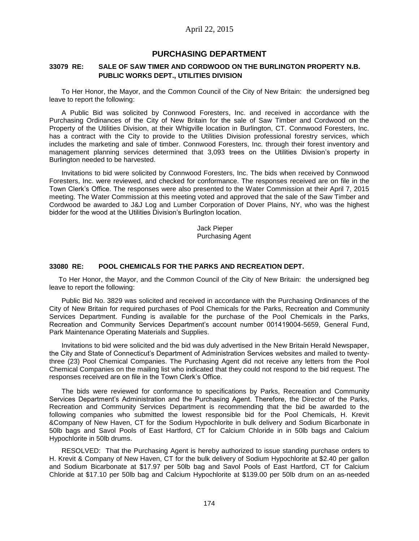## **PURCHASING DEPARTMENT**

### **33079 RE: SALE OF SAW TIMER AND CORDWOOD ON THE BURLINGTON PROPERTY N.B. PUBLIC WORKS DEPT., UTILITIES DIVISION**

To Her Honor, the Mayor, and the Common Council of the City of New Britain: the undersigned beg leave to report the following:

A Public Bid was solicited by Connwood Foresters, Inc. and received in accordance with the Purchasing Ordinances of the City of New Britain for the sale of Saw Timber and Cordwood on the Property of the Utilities Division, at their Whigville location in Burlington, CT. Connwood Foresters, Inc. has a contract with the City to provide to the Utilities Division professional forestry services, which includes the marketing and sale of timber. Connwood Foresters, Inc. through their forest inventory and management planning services determined that 3,093 trees on the Utilities Division's property in Burlington needed to be harvested.

Invitations to bid were solicited by Connwood Foresters, Inc. The bids when received by Connwood Foresters, Inc. were reviewed, and checked for conformance. The responses received are on file in the Town Clerk's Office. The responses were also presented to the Water Commission at their April 7, 2015 meeting. The Water Commission at this meeting voted and approved that the sale of the Saw Timber and Cordwood be awarded to J&J Log and Lumber Corporation of Dover Plains, NY, who was the highest bidder for the wood at the Utilities Division's Burlington location.

> Jack Pieper Purchasing Agent

### **33080 RE: POOL CHEMICALS FOR THE PARKS AND RECREATION DEPT.**

To Her Honor, the Mayor, and the Common Council of the City of New Britain: the undersigned beg leave to report the following:

Public Bid No. 3829 was solicited and received in accordance with the Purchasing Ordinances of the City of New Britain for required purchases of Pool Chemicals for the Parks, Recreation and Community Services Department. Funding is available for the purchase of the Pool Chemicals in the Parks, Recreation and Community Services Department's account number 001419004-5659, General Fund, Park Maintenance Operating Materials and Supplies.

Invitations to bid were solicited and the bid was duly advertised in the New Britain Herald Newspaper, the City and State of Connecticut's Department of Administration Services websites and mailed to twentythree (23) Pool Chemical Companies. The Purchasing Agent did not receive any letters from the Pool Chemical Companies on the mailing list who indicated that they could not respond to the bid request. The responses received are on file in the Town Clerk's Office.

The bids were reviewed for conformance to specifications by Parks, Recreation and Community Services Department's Administration and the Purchasing Agent. Therefore, the Director of the Parks, Recreation and Community Services Department is recommending that the bid be awarded to the following companies who submitted the lowest responsible bid for the Pool Chemicals, H. Krevit &Company of New Haven, CT for the Sodium Hypochlorite in bulk delivery and Sodium Bicarbonate in 50lb bags and Savol Pools of East Hartford, CT for Calcium Chloride in in 50lb bags and Calcium Hypochlorite in 50lb drums.

RESOLVED: That the Purchasing Agent is hereby authorized to issue standing purchase orders to H. Krevit & Company of New Haven, CT for the bulk delivery of Sodium Hypochlorite at \$2.40 per gallon and Sodium Bicarbonate at \$17.97 per 50lb bag and Savol Pools of East Hartford, CT for Calcium Chloride at \$17.10 per 50lb bag and Calcium Hypochlorite at \$139.00 per 50lb drum on an as-needed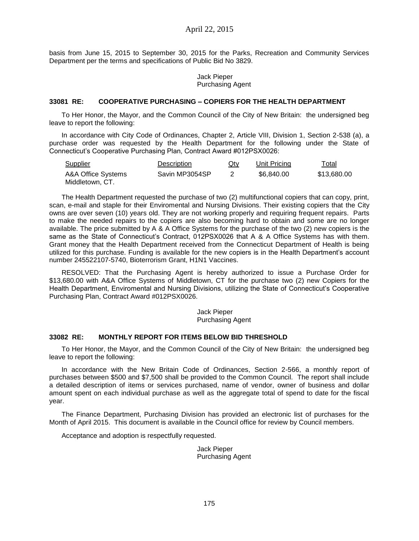basis from June 15, 2015 to September 30, 2015 for the Parks, Recreation and Community Services Department per the terms and specifications of Public Bid No 3829.

> Jack Pieper Purchasing Agent

#### **33081 RE: COOPERATIVE PURCHASING – COPIERS FOR THE HEALTH DEPARTMENT**

To Her Honor, the Mayor, and the Common Council of the City of New Britain: the undersigned beg leave to report the following:

In accordance with City Code of Ordinances, Chapter 2, Article VIII, Division 1, Section 2-538 (a), a purchase order was requested by the Health Department for the following under the State of Connecticut's Cooperative Purchasing Plan, Contract Award #012PSX0026:

| <b>Supplier</b>    | Description    | $Q$ ty | Unit Pricing | <u>Total</u> |
|--------------------|----------------|--------|--------------|--------------|
| A&A Office Systems | Savin MP3054SP |        | \$6.840.00   | \$13.680.00  |
| Middletown, CT.    |                |        |              |              |

The Health Department requested the purchase of two (2) multifunctional copiers that can copy, print, scan, e-mail and staple for their Enviromental and Nursing Divisions. Their existing copiers that the City owns are over seven (10) years old. They are not working properly and requiring frequent repairs. Parts to make the needed repairs to the copiers are also becoming hard to obtain and some are no longer available. The price submitted by A & A Office Systems for the purchase of the two (2) new copiers is the same as the State of Connecticut's Contract, 012PSX0026 that A & A Office Systems has with them. Grant money that the Health Department received from the Connecticut Department of Health is being utilized for this purchase. Funding is available for the new copiers is in the Health Department's account number 245522107-5740, Bioterrorism Grant, H1N1 Vaccines.

RESOLVED: That the Purchasing Agent is hereby authorized to issue a Purchase Order for \$13,680.00 with A&A Office Systems of Middletown, CT for the purchase two (2) new Copiers for the Health Department, Enviromental and Nursing Divisions, utilizing the State of Connecticut's Cooperative Purchasing Plan, Contract Award #012PSX0026.

> Jack Pieper Purchasing Agent

### **33082 RE: MONTHLY REPORT FOR ITEMS BELOW BID THRESHOLD**

To Her Honor, the Mayor, and the Common Council of the City of New Britain: the undersigned beg leave to report the following:

In accordance with the New Britain Code of Ordinances, Section 2-566, a monthly report of purchases between \$500 and \$7,500 shall be provided to the Common Council. The report shall include a detailed description of items or services purchased, name of vendor, owner of business and dollar amount spent on each individual purchase as well as the aggregate total of spend to date for the fiscal year.

The Finance Department, Purchasing Division has provided an electronic list of purchases for the Month of April 2015. This document is available in the Council office for review by Council members.

Acceptance and adoption is respectfully requested.

Jack Pieper Purchasing Agent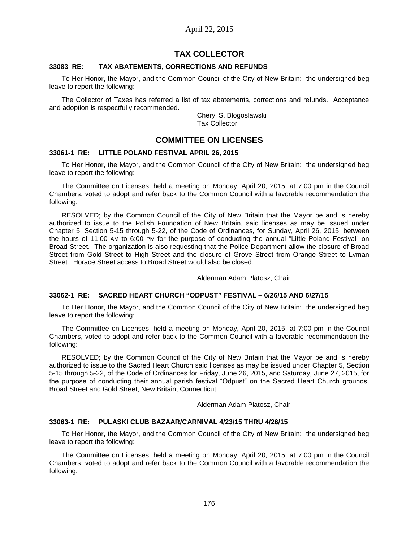# **TAX COLLECTOR**

### **33083 RE: TAX ABATEMENTS, CORRECTIONS AND REFUNDS**

To Her Honor, the Mayor, and the Common Council of the City of New Britain: the undersigned beg leave to report the following:

The Collector of Taxes has referred a list of tax abatements, corrections and refunds. Acceptance and adoption is respectfully recommended.

> Cheryl S. Blogoslawski Tax Collector

## **COMMITTEE ON LICENSES**

#### **33061-1 RE: LITTLE POLAND FESTIVAL APRIL 26, 2015**

To Her Honor, the Mayor, and the Common Council of the City of New Britain: the undersigned beg leave to report the following:

The Committee on Licenses, held a meeting on Monday, April 20, 2015, at 7:00 pm in the Council Chambers, voted to adopt and refer back to the Common Council with a favorable recommendation the following:

RESOLVED; by the Common Council of the City of New Britain that the Mayor be and is hereby authorized to issue to the Polish Foundation of New Britain, said licenses as may be issued under Chapter 5, Section 5-15 through 5-22, of the Code of Ordinances, for Sunday, April 26, 2015, between the hours of 11:00 AM to 6:00 PM for the purpose of conducting the annual "Little Poland Festival" on Broad Street. The organization is also requesting that the Police Department allow the closure of Broad Street from Gold Street to High Street and the closure of Grove Street from Orange Street to Lyman Street. Horace Street access to Broad Street would also be closed.

#### Alderman Adam Platosz, Chair

## **33062-1 RE: SACRED HEART CHURCH "ODPUST" FESTIVAL – 6/26/15 AND 6/27/15**

To Her Honor, the Mayor, and the Common Council of the City of New Britain: the undersigned beg leave to report the following:

The Committee on Licenses, held a meeting on Monday, April 20, 2015, at 7:00 pm in the Council Chambers, voted to adopt and refer back to the Common Council with a favorable recommendation the following:

RESOLVED; by the Common Council of the City of New Britain that the Mayor be and is hereby authorized to issue to the Sacred Heart Church said licenses as may be issued under Chapter 5, Section 5-15 through 5-22, of the Code of Ordinances for Friday, June 26, 2015, and Saturday, June 27, 2015, for the purpose of conducting their annual parish festival "Odpust" on the Sacred Heart Church grounds, Broad Street and Gold Street, New Britain, Connecticut.

Alderman Adam Platosz, Chair

### **33063-1 RE: PULASKI CLUB BAZAAR/CARNIVAL 4/23/15 THRU 4/26/15**

To Her Honor, the Mayor, and the Common Council of the City of New Britain: the undersigned beg leave to report the following:

The Committee on Licenses, held a meeting on Monday, April 20, 2015, at 7:00 pm in the Council Chambers, voted to adopt and refer back to the Common Council with a favorable recommendation the following: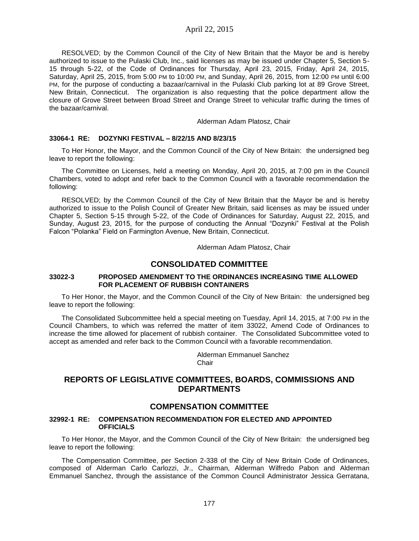RESOLVED; by the Common Council of the City of New Britain that the Mayor be and is hereby authorized to issue to the Pulaski Club, Inc., said licenses as may be issued under Chapter 5, Section 5- 15 through 5-22, of the Code of Ordinances for Thursday, April 23, 2015, Friday, April 24, 2015, Saturday, April 25, 2015, from 5:00 PM to 10:00 PM, and Sunday, April 26, 2015, from 12:00 PM until 6:00 PM, for the purpose of conducting a bazaar/carnival in the Pulaski Club parking lot at 89 Grove Street, New Britain, Connecticut. The organization is also requesting that the police department allow the closure of Grove Street between Broad Street and Orange Street to vehicular traffic during the times of the bazaar/carnival.

#### Alderman Adam Platosz, Chair

### **33064-1 RE: DOZYNKI FESTIVAL – 8/22/15 AND 8/23/15**

To Her Honor, the Mayor, and the Common Council of the City of New Britain: the undersigned beg leave to report the following:

The Committee on Licenses, held a meeting on Monday, April 20, 2015, at 7:00 pm in the Council Chambers, voted to adopt and refer back to the Common Council with a favorable recommendation the following:

RESOLVED; by the Common Council of the City of New Britain that the Mayor be and is hereby authorized to issue to the Polish Council of Greater New Britain, said licenses as may be issued under Chapter 5, Section 5-15 through 5-22, of the Code of Ordinances for Saturday, August 22, 2015, and Sunday, August 23, 2015, for the purpose of conducting the Annual "Dozynki" Festival at the Polish Falcon "Polanka" Field on Farmington Avenue, New Britain, Connecticut.

Alderman Adam Platosz, Chair

## **CONSOLIDATED COMMITTEE**

#### **33022-3 PROPOSED AMENDMENT TO THE ORDINANCES INCREASING TIME ALLOWED FOR PLACEMENT OF RUBBISH CONTAINERS**

To Her Honor, the Mayor, and the Common Council of the City of New Britain: the undersigned beg leave to report the following:

The Consolidated Subcommittee held a special meeting on Tuesday, April 14, 2015, at 7:00 PM in the Council Chambers, to which was referred the matter of item 33022, Amend Code of Ordinances to increase the time allowed for placement of rubbish container. The Consolidated Subcommittee voted to accept as amended and refer back to the Common Council with a favorable recommendation.

> Alderman Emmanuel Sanchez **Chair**

# **REPORTS OF LEGISLATIVE COMMITTEES, BOARDS, COMMISSIONS AND DEPARTMENTS**

## **COMPENSATION COMMITTEE**

#### **32992-1 RE: COMPENSATION RECOMMENDATION FOR ELECTED AND APPOINTED OFFICIALS**

To Her Honor, the Mayor, and the Common Council of the City of New Britain: the undersigned beg leave to report the following:

The Compensation Committee, per Section 2-338 of the City of New Britain Code of Ordinances, composed of Alderman Carlo Carlozzi, Jr., Chairman, Alderman Wilfredo Pabon and Alderman Emmanuel Sanchez, through the assistance of the Common Council Administrator Jessica Gerratana,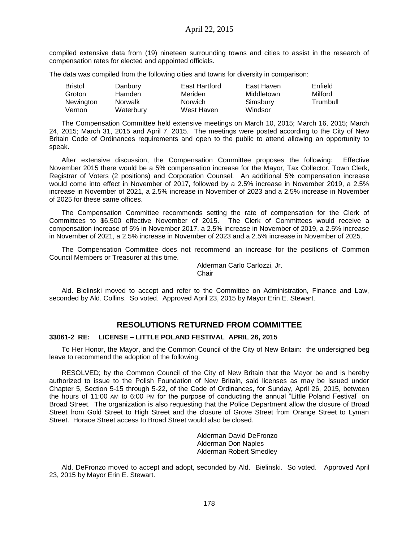compiled extensive data from (19) nineteen surrounding towns and cities to assist in the research of compensation rates for elected and appointed officials.

The data was compiled from the following cities and towns for diversity in comparison:

| <b>Bristol</b> | Danbury        | East Hartford  | East Haven | Enfield  |
|----------------|----------------|----------------|------------|----------|
| Groton         | Hamden         | Meriden        | Middletown | Milford  |
| Newington      | <b>Norwalk</b> | <b>Norwich</b> | Simsbury   | Trumbull |
| Vernon         | Waterbury      | West Haven     | Windsor    |          |

The Compensation Committee held extensive meetings on March 10, 2015; March 16, 2015; March 24, 2015; March 31, 2015 and April 7, 2015. The meetings were posted according to the City of New Britain Code of Ordinances requirements and open to the public to attend allowing an opportunity to speak.

After extensive discussion, the Compensation Committee proposes the following: Effective November 2015 there would be a 5% compensation increase for the Mayor, Tax Collector, Town Clerk, Registrar of Voters (2 positions) and Corporation Counsel. An additional 5% compensation increase would come into effect in November of 2017, followed by a 2.5% increase in November 2019, a 2.5% increase in November of 2021, a 2.5% increase in November of 2023 and a 2.5% increase in November of 2025 for these same offices.

The Compensation Committee recommends setting the rate of compensation for the Clerk of Committees to \$6,500 effective November of 2015. The Clerk of Committees would receive a compensation increase of 5% in November 2017, a 2.5% increase in November of 2019, a 2.5% increase in November of 2021, a 2.5% increase in November of 2023 and a 2.5% increase in November of 2025.

The Compensation Committee does not recommend an increase for the positions of Common Council Members or Treasurer at this time.

> Alderman Carlo Carlozzi, Jr. **Chair**

Ald. Bielinski moved to accept and refer to the Committee on Administration, Finance and Law, seconded by Ald. Collins. So voted. Approved April 23, 2015 by Mayor Erin E. Stewart.

# **RESOLUTIONS RETURNED FROM COMMITTEE**

#### **33061-2 RE: LICENSE – LITTLE POLAND FESTIVAL APRIL 26, 2015**

To Her Honor, the Mayor, and the Common Council of the City of New Britain: the undersigned beg leave to recommend the adoption of the following:

RESOLVED; by the Common Council of the City of New Britain that the Mayor be and is hereby authorized to issue to the Polish Foundation of New Britain, said licenses as may be issued under Chapter 5, Section 5-15 through 5-22, of the Code of Ordinances, for Sunday, April 26, 2015, between the hours of 11:00 AM to 6:00 PM for the purpose of conducting the annual "Little Poland Festival" on Broad Street. The organization is also requesting that the Police Department allow the closure of Broad Street from Gold Street to High Street and the closure of Grove Street from Orange Street to Lyman Street. Horace Street access to Broad Street would also be closed.

> Alderman David DeFronzo Alderman Don Naples Alderman Robert Smedley

Ald. DeFronzo moved to accept and adopt, seconded by Ald. Bielinski. So voted. Approved April 23, 2015 by Mayor Erin E. Stewart.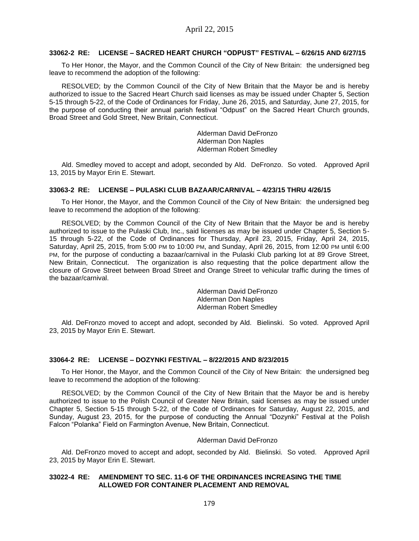#### **33062-2 RE: LICENSE – SACRED HEART CHURCH "ODPUST" FESTIVAL – 6/26/15 AND 6/27/15**

To Her Honor, the Mayor, and the Common Council of the City of New Britain: the undersigned beg leave to recommend the adoption of the following:

RESOLVED; by the Common Council of the City of New Britain that the Mayor be and is hereby authorized to issue to the Sacred Heart Church said licenses as may be issued under Chapter 5, Section 5-15 through 5-22, of the Code of Ordinances for Friday, June 26, 2015, and Saturday, June 27, 2015, for the purpose of conducting their annual parish festival "Odpust" on the Sacred Heart Church grounds, Broad Street and Gold Street, New Britain, Connecticut.

> Alderman David DeFronzo Alderman Don Naples Alderman Robert Smedley

Ald. Smedley moved to accept and adopt, seconded by Ald. DeFronzo. So voted. Approved April 13, 2015 by Mayor Erin E. Stewart.

#### **33063-2 RE: LICENSE – PULASKI CLUB BAZAAR/CARNIVAL – 4/23/15 THRU 4/26/15**

To Her Honor, the Mayor, and the Common Council of the City of New Britain: the undersigned beg leave to recommend the adoption of the following:

RESOLVED; by the Common Council of the City of New Britain that the Mayor be and is hereby authorized to issue to the Pulaski Club, Inc., said licenses as may be issued under Chapter 5, Section 5- 15 through 5-22, of the Code of Ordinances for Thursday, April 23, 2015, Friday, April 24, 2015, Saturday, April 25, 2015, from 5:00 PM to 10:00 PM, and Sunday, April 26, 2015, from 12:00 PM until 6:00 PM, for the purpose of conducting a bazaar/carnival in the Pulaski Club parking lot at 89 Grove Street, New Britain, Connecticut. The organization is also requesting that the police department allow the closure of Grove Street between Broad Street and Orange Street to vehicular traffic during the times of the bazaar/carnival.

> Alderman David DeFronzo Alderman Don Naples Alderman Robert Smedley

Ald. DeFronzo moved to accept and adopt, seconded by Ald. Bielinski. So voted. Approved April 23, 2015 by Mayor Erin E. Stewart.

#### **33064-2 RE: LICENSE – DOZYNKI FESTIVAL – 8/22/2015 AND 8/23/2015**

To Her Honor, the Mayor, and the Common Council of the City of New Britain: the undersigned beg leave to recommend the adoption of the following:

RESOLVED; by the Common Council of the City of New Britain that the Mayor be and is hereby authorized to issue to the Polish Council of Greater New Britain, said licenses as may be issued under Chapter 5, Section 5-15 through 5-22, of the Code of Ordinances for Saturday, August 22, 2015, and Sunday, August 23, 2015, for the purpose of conducting the Annual "Dozynki" Festival at the Polish Falcon "Polanka" Field on Farmington Avenue, New Britain, Connecticut.

#### Alderman David DeFronzo

Ald. DeFronzo moved to accept and adopt, seconded by Ald. Bielinski. So voted. Approved April 23, 2015 by Mayor Erin E. Stewart.

### **33022-4 RE: AMENDMENT TO SEC. 11-6 OF THE ORDINANCES INCREASING THE TIME ALLOWED FOR CONTAINER PLACEMENT AND REMOVAL**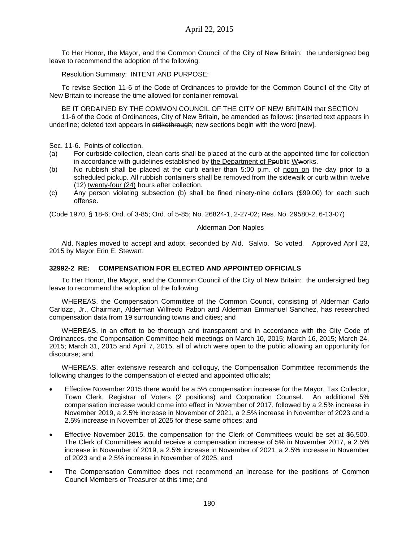To Her Honor, the Mayor, and the Common Council of the City of New Britain: the undersigned beg leave to recommend the adoption of the following:

Resolution Summary: INTENT AND PURPOSE:

To revise Section 11-6 of the Code of Ordinances to provide for the Common Council of the City of New Britain to increase the time allowed for container removal.

BE IT ORDAINED BY THE COMMON COUNCIL OF THE CITY OF NEW BRITAIN that SECTION 11-6 of the Code of Ordinances, City of New Britain, be amended as follows: (inserted text appears in underline; deleted text appears in strikethrough; new sections begin with the word [new].

Sec. 11-6. Points of collection.

- (a) For curbside collection, clean carts shall be placed at the curb at the appointed time for collection in accordance with guidelines established by the Department of Ppublic Wworks.
- (b) No rubbish shall be placed at the curb earlier than  $\frac{5.00 \text{ p.m.}}{2}$  of noon on the day prior to a scheduled pickup. All rubbish containers shall be removed from the sidewalk or curb within twelve (12) twenty-four (24) hours after collection.
- (c) Any person violating subsection (b) shall be fined ninety-nine dollars (\$99.00) for each such offense.

(Code 1970, § 18-6; Ord. of 3-85; Ord. of 5-85; No. 26824-1, 2-27-02; Res. No. 29580-2, 6-13-07)

### Alderman Don Naples

Ald. Naples moved to accept and adopt, seconded by Ald. Salvio. So voted. Approved April 23, 2015 by Mayor Erin E. Stewart.

### **32992-2 RE: COMPENSATION FOR ELECTED AND APPOINTED OFFICIALS**

To Her Honor, the Mayor, and the Common Council of the City of New Britain: the undersigned beg leave to recommend the adoption of the following:

WHEREAS, the Compensation Committee of the Common Council, consisting of Alderman Carlo Carlozzi, Jr., Chairman, Alderman Wilfredo Pabon and Alderman Emmanuel Sanchez, has researched compensation data from 19 surrounding towns and cities; and

WHEREAS, in an effort to be thorough and transparent and in accordance with the City Code of Ordinances, the Compensation Committee held meetings on March 10, 2015; March 16, 2015; March 24, 2015; March 31, 2015 and April 7, 2015, all of which were open to the public allowing an opportunity for discourse; and

WHEREAS, after extensive research and colloquy, the Compensation Committee recommends the following changes to the compensation of elected and appointed officials;

- Effective November 2015 there would be a 5% compensation increase for the Mayor, Tax Collector, Town Clerk, Registrar of Voters (2 positions) and Corporation Counsel. An additional 5% compensation increase would come into effect in November of 2017, followed by a 2.5% increase in November 2019, a 2.5% increase in November of 2021, a 2.5% increase in November of 2023 and a 2.5% increase in November of 2025 for these same offices; and
- Effective November 2015, the compensation for the Clerk of Committees would be set at \$6,500. The Clerk of Committees would receive a compensation increase of 5% in November 2017, a 2.5% increase in November of 2019, a 2.5% increase in November of 2021, a 2.5% increase in November of 2023 and a 2.5% increase in November of 2025; and
- The Compensation Committee does not recommend an increase for the positions of Common Council Members or Treasurer at this time; and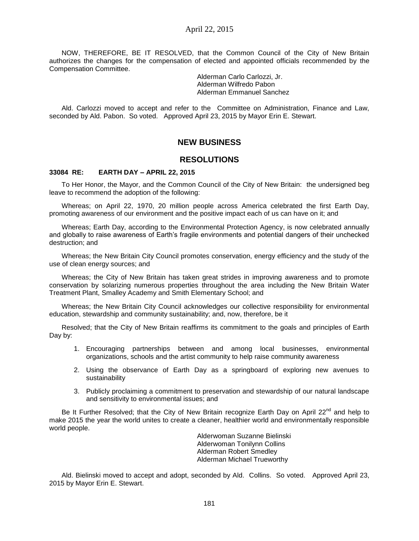NOW, THEREFORE, BE IT RESOLVED, that the Common Council of the City of New Britain authorizes the changes for the compensation of elected and appointed officials recommended by the Compensation Committee.

> Alderman Carlo Carlozzi, Jr. Alderman Wilfredo Pabon Alderman Emmanuel Sanchez

Ald. Carlozzi moved to accept and refer to the Committee on Administration, Finance and Law, seconded by Ald. Pabon. So voted. Approved April 23, 2015 by Mayor Erin E. Stewart.

# **NEW BUSINESS**

## **RESOLUTIONS**

#### **33084 RE: EARTH DAY – APRIL 22, 2015**

To Her Honor, the Mayor, and the Common Council of the City of New Britain: the undersigned beg leave to recommend the adoption of the following:

Whereas; on April 22, 1970, 20 million people across America celebrated the first Earth Day, promoting awareness of our environment and the positive impact each of us can have on it; and

Whereas; Earth Day, according to the Environmental Protection Agency, is now celebrated annually and globally to raise awareness of Earth's fragile environments and potential dangers of their unchecked destruction; and

Whereas; the New Britain City Council promotes conservation, energy efficiency and the study of the use of clean energy sources; and

Whereas; the City of New Britain has taken great strides in improving awareness and to promote conservation by solarizing numerous properties throughout the area including the New Britain Water Treatment Plant, Smalley Academy and Smith Elementary School; and

Whereas; the New Britain City Council acknowledges our collective responsibility for environmental education, stewardship and community sustainability; and, now, therefore, be it

Resolved; that the City of New Britain reaffirms its commitment to the goals and principles of Earth Day by:

- 1. Encouraging partnerships between and among local businesses, environmental organizations, schools and the artist community to help raise community awareness
- 2. Using the observance of Earth Day as a springboard of exploring new avenues to sustainability
- 3. Publicly proclaiming a commitment to preservation and stewardship of our natural landscape and sensitivity to environmental issues; and

Be It Further Resolved; that the City of New Britain recognize Earth Day on April 22<sup>nd</sup> and help to make 2015 the year the world unites to create a cleaner, healthier world and environmentally responsible world people.

> Alderwoman Suzanne Bielinski Alderwoman Tonilynn Collins Alderman Robert Smedley Alderman Michael Trueworthy

Ald. Bielinski moved to accept and adopt, seconded by Ald. Collins. So voted. Approved April 23, 2015 by Mayor Erin E. Stewart.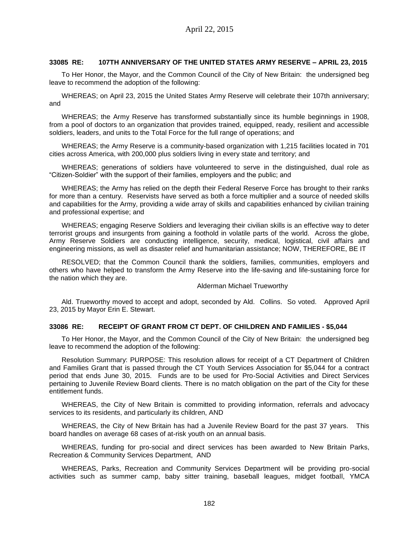### **33085 RE: 107TH ANNIVERSARY OF THE UNITED STATES ARMY RESERVE – APRIL 23, 2015**

To Her Honor, the Mayor, and the Common Council of the City of New Britain: the undersigned beg leave to recommend the adoption of the following:

WHEREAS; on April 23, 2015 the United States Army Reserve will celebrate their 107th anniversary; and

WHEREAS; the Army Reserve has transformed substantially since its humble beginnings in 1908, from a pool of doctors to an organization that provides trained, equipped, ready, resilient and accessible soldiers, leaders, and units to the Total Force for the full range of operations; and

WHEREAS; the Army Reserve is a community-based organization with 1,215 facilities located in 701 cities across America, with 200,000 plus soldiers living in every state and territory; and

WHEREAS; generations of soldiers have volunteered to serve in the distinguished, dual role as "Citizen-Soldier" with the support of their families, employers and the public; and

WHEREAS; the Army has relied on the depth their Federal Reserve Force has brought to their ranks for more than a century. Reservists have served as both a force multiplier and a source of needed skills and capabilities for the Army, providing a wide array of skills and capabilities enhanced by civilian training and professional expertise; and

WHEREAS; engaging Reserve Soldiers and leveraging their civilian skills is an effective way to deter terrorist groups and insurgents from gaining a foothold in volatile parts of the world. Across the globe, Army Reserve Soldiers are conducting intelligence, security, medical, logistical, civil affairs and engineering missions, as well as disaster relief and humanitarian assistance; NOW, THEREFORE, BE IT

RESOLVED; that the Common Council thank the soldiers, families, communities, employers and others who have helped to transform the Army Reserve into the life-saving and life-sustaining force for the nation which they are.

#### Alderman Michael Trueworthy

Ald. Trueworthy moved to accept and adopt, seconded by Ald. Collins. So voted. Approved April 23, 2015 by Mayor Erin E. Stewart.

#### **33086 RE: RECEIPT OF GRANT FROM CT DEPT. OF CHILDREN AND FAMILIES - \$5,044**

To Her Honor, the Mayor, and the Common Council of the City of New Britain: the undersigned beg leave to recommend the adoption of the following:

Resolution Summary: PURPOSE: This resolution allows for receipt of a CT Department of Children and Families Grant that is passed through the CT Youth Services Association for \$5,044 for a contract period that ends June 30, 2015. Funds are to be used for Pro-Social Activities and Direct Services pertaining to Juvenile Review Board clients. There is no match obligation on the part of the City for these entitlement funds.

WHEREAS, the City of New Britain is committed to providing information, referrals and advocacy services to its residents, and particularly its children, AND

WHEREAS, the City of New Britain has had a Juvenile Review Board for the past 37 years. This board handles on average 68 cases of at-risk youth on an annual basis.

WHEREAS, funding for pro-social and direct services has been awarded to New Britain Parks, Recreation & Community Services Department, AND

WHEREAS, Parks, Recreation and Community Services Department will be providing pro-social activities such as summer camp, baby sitter training, baseball leagues, midget football, YMCA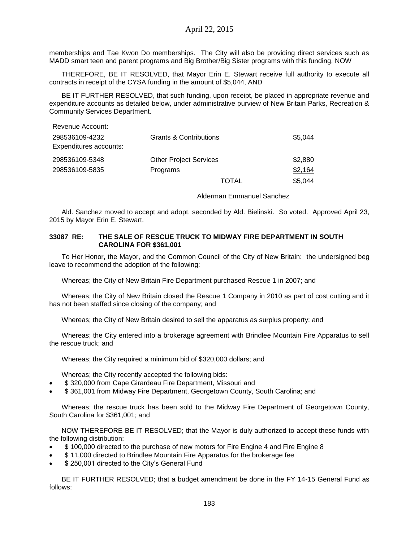memberships and Tae Kwon Do memberships. The City will also be providing direct services such as MADD smart teen and parent programs and Big Brother/Big Sister programs with this funding, NOW

THEREFORE, BE IT RESOLVED, that Mayor Erin E. Stewart receive full authority to execute all contracts in receipt of the CYSA funding in the amount of \$5,044, AND

BE IT FURTHER RESOLVED, that such funding, upon receipt, be placed in appropriate revenue and expenditure accounts as detailed below, under administrative purview of New Britain Parks, Recreation & Community Services Department.

| Revenue Account:                         |                                   |         |
|------------------------------------------|-----------------------------------|---------|
| 298536109-4232<br>Expenditures accounts: | <b>Grants &amp; Contributions</b> | \$5,044 |
| 298536109-5348                           | <b>Other Project Services</b>     | \$2,880 |
| 298536109-5835                           | Programs                          | \$2,164 |
|                                          | TOTAL                             | \$5,044 |

Alderman Emmanuel Sanchez

Ald. Sanchez moved to accept and adopt, seconded by Ald. Bielinski. So voted. Approved April 23, 2015 by Mayor Erin E. Stewart.

### **33087 RE: THE SALE OF RESCUE TRUCK TO MIDWAY FIRE DEPARTMENT IN SOUTH CAROLINA FOR \$361,001**

To Her Honor, the Mayor, and the Common Council of the City of New Britain: the undersigned beg leave to recommend the adoption of the following:

Whereas; the City of New Britain Fire Department purchased Rescue 1 in 2007; and

Whereas; the City of New Britain closed the Rescue 1 Company in 2010 as part of cost cutting and it has not been staffed since closing of the company; and

Whereas; the City of New Britain desired to sell the apparatus as surplus property; and

Whereas; the City entered into a brokerage agreement with Brindlee Mountain Fire Apparatus to sell the rescue truck; and

Whereas; the City required a minimum bid of \$320,000 dollars; and

Whereas; the City recently accepted the following bids:

- \$ 320,000 from Cape Girardeau Fire Department, Missouri and
- \$ 361,001 from Midway Fire Department, Georgetown County, South Carolina; and

Whereas; the rescue truck has been sold to the Midway Fire Department of Georgetown County, South Carolina for \$361,001; and

NOW THEREFORE BE IT RESOLVED; that the Mayor is duly authorized to accept these funds with the following distribution:

- \$ 100,000 directed to the purchase of new motors for Fire Engine 4 and Fire Engine 8
- \$ 11,000 directed to Brindlee Mountain Fire Apparatus for the brokerage fee
- \$ 250,001 directed to the City's General Fund

BE IT FURTHER RESOLVED; that a budget amendment be done in the FY 14-15 General Fund as follows: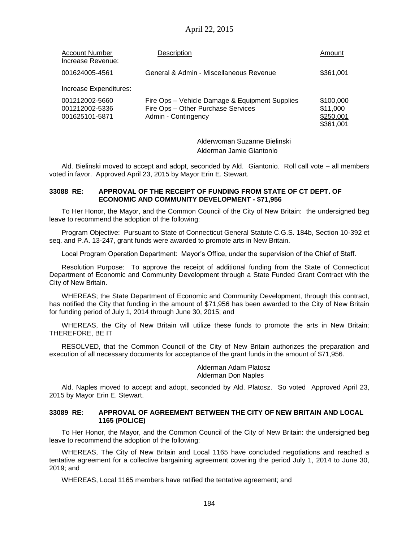| <b>Account Number</b><br>Increase Revenue:         | Description                                                                                                 | Amount                                          |
|----------------------------------------------------|-------------------------------------------------------------------------------------------------------------|-------------------------------------------------|
| 001624005-4561                                     | General & Admin - Miscellaneous Revenue                                                                     | \$361,001                                       |
| Increase Expenditures:                             |                                                                                                             |                                                 |
| 001212002-5660<br>001212002-5336<br>001625101-5871 | Fire Ops - Vehicle Damage & Equipment Supplies<br>Fire Ops - Other Purchase Services<br>Admin - Contingency | \$100,000<br>\$11,000<br>\$250,001<br>\$361,001 |

Alderwoman Suzanne Bielinski Alderman Jamie Giantonio

Ald. Bielinski moved to accept and adopt, seconded by Ald. Giantonio. Roll call vote – all members voted in favor. Approved April 23, 2015 by Mayor Erin E. Stewart.

### **33088 RE: APPROVAL OF THE RECEIPT OF FUNDING FROM STATE OF CT DEPT. OF ECONOMIC AND COMMUNITY DEVELOPMENT - \$71,956**

To Her Honor, the Mayor, and the Common Council of the City of New Britain: the undersigned beg leave to recommend the adoption of the following:

Program Objective: Pursuant to State of Connecticut General Statute C.G.S. 184b, Section 10-392 et seq. and P.A. 13-247, grant funds were awarded to promote arts in New Britain.

Local Program Operation Department: Mayor's Office, under the supervision of the Chief of Staff.

Resolution Purpose: To approve the receipt of additional funding from the State of Connecticut Department of Economic and Community Development through a State Funded Grant Contract with the City of New Britain.

WHEREAS; the State Department of Economic and Community Development, through this contract, has notified the City that funding in the amount of \$71,956 has been awarded to the City of New Britain for funding period of July 1, 2014 through June 30, 2015; and

WHEREAS, the City of New Britain will utilize these funds to promote the arts in New Britain; THEREFORE, BE IT

RESOLVED, that the Common Council of the City of New Britain authorizes the preparation and execution of all necessary documents for acceptance of the grant funds in the amount of \$71,956.

> Alderman Adam Platosz Alderman Don Naples

Ald. Naples moved to accept and adopt, seconded by Ald. Platosz. So voted Approved April 23, 2015 by Mayor Erin E. Stewart.

#### **33089 RE: APPROVAL OF AGREEMENT BETWEEN THE CITY OF NEW BRITAIN AND LOCAL 1165 (POLICE)**

To Her Honor, the Mayor, and the Common Council of the City of New Britain: the undersigned beg leave to recommend the adoption of the following:

WHEREAS, The City of New Britain and Local 1165 have concluded negotiations and reached a tentative agreement for a collective bargaining agreement covering the period July 1, 2014 to June 30, 2019; and

WHEREAS, Local 1165 members have ratified the tentative agreement; and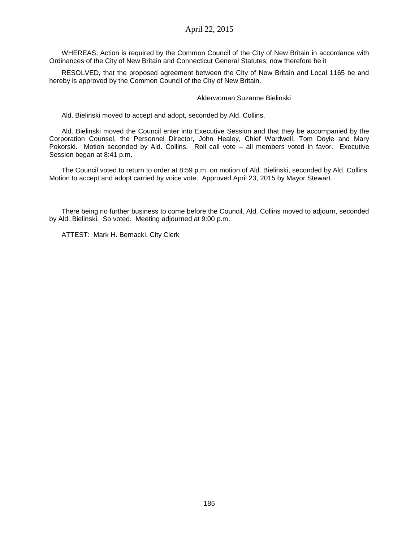WHEREAS, Action is required by the Common Council of the City of New Britain in accordance with Ordinances of the City of New Britain and Connecticut General Statutes; now therefore be it

RESOLVED, that the proposed agreement between the City of New Britain and Local 1165 be and hereby is approved by the Common Council of the City of New Britain.

#### Alderwoman Suzanne Bielinski

Ald. Bielinski moved to accept and adopt, seconded by Ald. Collins.

Ald. Bielinski moved the Council enter into Executive Session and that they be accompanied by the Corporation Counsel, the Personnel Director, John Healey, Chief Wardwell, Tom Doyle and Mary Pokorski. Motion seconded by Ald. Collins. Roll call vote – all members voted in favor. Executive Session began at 8:41 p.m.

The Council voted to return to order at 8:59 p.m. on motion of Ald. Bielinski, seconded by Ald. Collins. Motion to accept and adopt carried by voice vote. Approved April 23, 2015 by Mayor Stewart.

There being no further business to come before the Council, Ald. Collins moved to adjourn, seconded by Ald. Bielinski. So voted. Meeting adjourned at 9:00 p.m.

ATTEST: Mark H. Bernacki, City Clerk